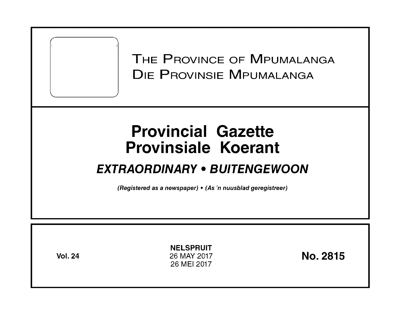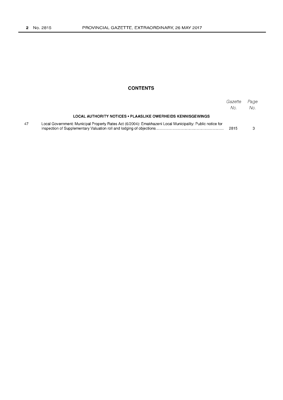### **CONTENTS**

|    |                                                                                                           | Gazette<br>No. | Page<br>No. |
|----|-----------------------------------------------------------------------------------------------------------|----------------|-------------|
|    | LOCAL AUTHORITY NOTICES • PLAASLIKE OWERHEIDS KENNISGEWINGS                                               |                |             |
| 47 | Local Government: Municipal Property Rates Act (6/2004): Emakhazeni Local Municipality: Public notice for | 2815           |             |